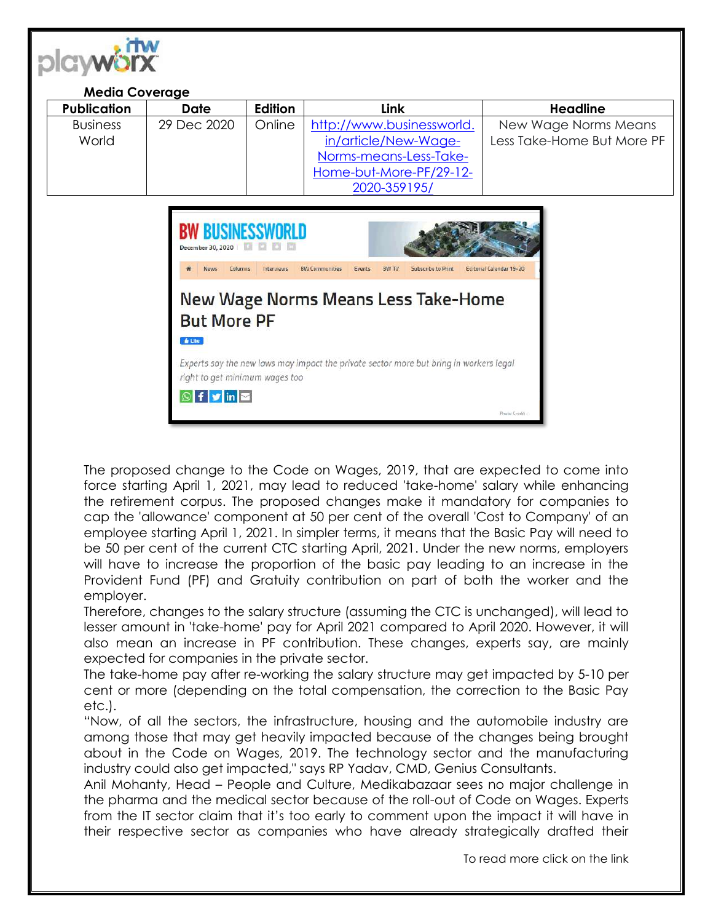

## **Media Coverage**

| <b>Publication</b> | Date        | <b>Edition</b> | Link                      | Headline                   |
|--------------------|-------------|----------------|---------------------------|----------------------------|
| <b>Business</b>    | 29 Dec 2020 | Online         | http://www.businessworld. | New Wage Norms Means       |
| World              |             |                | in/article/New-Wage-      | Less Take-Home But More PF |
|                    |             |                | Norms-means-Less-Take-    |                            |
|                    |             |                | Home-but-More-PF/29-12-   |                            |
|                    |             |                | 2020-359195/              |                            |



The proposed change to the Code on Wages, 2019, that are expected to come into force starting April 1, 2021, may lead to reduced 'take-home' salary while enhancing the retirement corpus. The proposed changes make it mandatory for companies to cap the 'allowance' component at 50 per cent of the overall 'Cost to Company' of an employee starting April 1, 2021. In simpler terms, it means that the Basic Pay will need to be 50 per cent of the current CTC starting April, 2021. Under the new norms, employers will have to increase the proportion of the basic pay leading to an increase in the Provident Fund (PF) and Gratuity contribution on part of both the worker and the employer.

Therefore, changes to the salary structure (assuming the CTC is unchanged), will lead to lesser amount in 'take-home' pay for April 2021 compared to April 2020. However, it will also mean an increase in PF contribution. These changes, experts say, are mainly expected for companies in the private sector.

The take-home pay after re-working the salary structure may get impacted by 5-10 per cent or more (depending on the total compensation, the correction to the Basic Pay etc.).

"Now, of all the sectors, the infrastructure, housing and the automobile industry are among those that may get heavily impacted because of the changes being brought about in the Code on Wages, 2019. The technology sector and the manufacturing industry could also get impacted," says RP Yadav, CMD, Genius Consultants.

Anil Mohanty, Head – People and Culture, Medikabazaar sees no major challenge in the pharma and the medical sector because of the roll-out of Code on Wages. Experts from the IT sector claim that it's too early to comment upon the impact it will have in their respective sector as companies who have already strategically drafted their

To read more click on the link